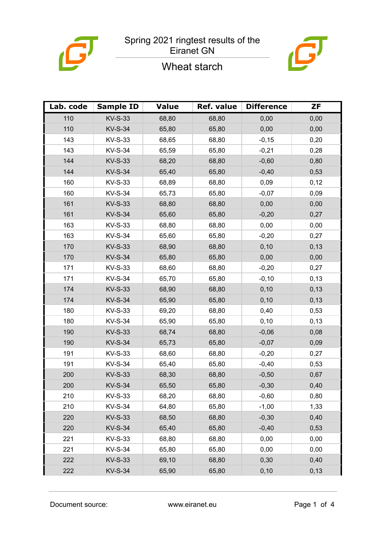

# Wheat starch



| Lab. code | <b>Sample ID</b> | <b>Value</b> | Ref. value | <b>Difference</b> | <b>ZF</b> |
|-----------|------------------|--------------|------------|-------------------|-----------|
| 110       | <b>KV-S-33</b>   | 68,80        | 68,80      | 0,00              | 0,00      |
| 110       | <b>KV-S-34</b>   | 65,80        | 65,80      | 0,00              | 0,00      |
| 143       | <b>KV-S-33</b>   | 68,65        | 68,80      | $-0,15$           | 0,20      |
| 143       | <b>KV-S-34</b>   | 65,59        | 65,80      | $-0,21$           | 0,28      |
| 144       | <b>KV-S-33</b>   | 68,20        | 68,80      | $-0,60$           | 0,80      |
| 144       | <b>KV-S-34</b>   | 65,40        | 65,80      | $-0,40$           | 0,53      |
| 160       | <b>KV-S-33</b>   | 68,89        | 68,80      | 0,09              | 0,12      |
| 160       | <b>KV-S-34</b>   | 65,73        | 65,80      | $-0,07$           | 0,09      |
| 161       | <b>KV-S-33</b>   | 68,80        | 68,80      | 0,00              | 0,00      |
| 161       | <b>KV-S-34</b>   | 65,60        | 65,80      | $-0,20$           | 0,27      |
| 163       | <b>KV-S-33</b>   | 68,80        | 68,80      | 0,00              | 0,00      |
| 163       | <b>KV-S-34</b>   | 65,60        | 65,80      | $-0,20$           | 0,27      |
| 170       | <b>KV-S-33</b>   | 68,90        | 68,80      | 0,10              | 0,13      |
| 170       | <b>KV-S-34</b>   | 65,80        | 65,80      | 0,00              | 0,00      |
| 171       | <b>KV-S-33</b>   | 68,60        | 68,80      | $-0,20$           | 0,27      |
| 171       | <b>KV-S-34</b>   | 65,70        | 65,80      | $-0,10$           | 0,13      |
| 174       | <b>KV-S-33</b>   | 68,90        | 68,80      | 0,10              | 0,13      |
| 174       | <b>KV-S-34</b>   | 65,90        | 65,80      | 0, 10             | 0,13      |
| 180       | <b>KV-S-33</b>   | 69,20        | 68,80      | 0,40              | 0,53      |
| 180       | <b>KV-S-34</b>   | 65,90        | 65,80      | 0,10              | 0,13      |
| 190       | <b>KV-S-33</b>   | 68,74        | 68,80      | $-0,06$           | 0,08      |
| 190       | <b>KV-S-34</b>   | 65,73        | 65,80      | $-0,07$           | 0,09      |
| 191       | <b>KV-S-33</b>   | 68,60        | 68,80      | $-0,20$           | 0,27      |
| 191       | <b>KV-S-34</b>   | 65,40        | 65,80      | $-0,40$           | 0,53      |
| 200       | <b>KV-S-33</b>   | 68,30        | 68,80      | $-0,50$           | 0,67      |
| 200       | <b>KV-S-34</b>   | 65,50        | 65,80      | $-0,30$           | 0,40      |
| 210       | KV-S-33          | 68,20        | 68,80      | $-0,60$           | 0,80      |
| 210       | <b>KV-S-34</b>   | 64,80        | 65,80      | $-1,00$           | 1,33      |
| 220       | <b>KV-S-33</b>   | 68,50        | 68,80      | $-0,30$           | 0,40      |
| 220       | <b>KV-S-34</b>   | 65,40        | 65,80      | $-0,40$           | 0,53      |
| 221       | <b>KV-S-33</b>   | 68,80        | 68,80      | 0,00              | 0,00      |
| 221       | <b>KV-S-34</b>   | 65,80        | 65,80      | 0,00              | 0,00      |
| 222       | <b>KV-S-33</b>   | 69,10        | 68,80      | 0,30              | 0,40      |
| 222       | <b>KV-S-34</b>   | 65,90        | 65,80      | 0, 10             | 0,13      |

Document source: www.eiranet.eu Page 1 of 4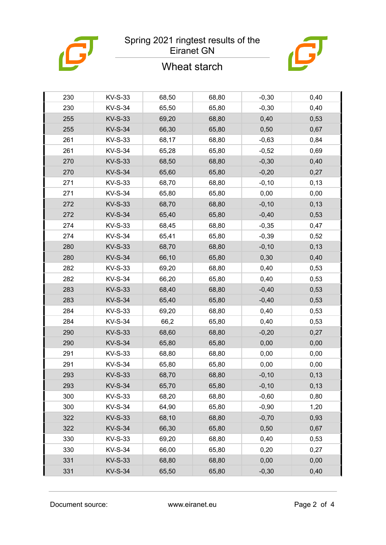

### Spring 2021 ringtest results of the Eiranet GN

## Wheat starch



| 230 | KV-S-33        | 68,50 | 68,80 | $-0,30$  | 0,40  |
|-----|----------------|-------|-------|----------|-------|
| 230 | <b>KV-S-34</b> | 65,50 | 65,80 | $-0,30$  | 0,40  |
| 255 | <b>KV-S-33</b> | 69,20 | 68,80 | 0,40     | 0,53  |
| 255 | <b>KV-S-34</b> | 66,30 | 65,80 | 0,50     | 0,67  |
| 261 | KV-S-33        | 68,17 | 68,80 | $-0,63$  | 0,84  |
| 261 | <b>KV-S-34</b> | 65,28 | 65,80 | $-0,52$  | 0,69  |
| 270 | <b>KV-S-33</b> | 68,50 | 68,80 | $-0,30$  | 0,40  |
| 270 | <b>KV-S-34</b> | 65,60 | 65,80 | $-0,20$  | 0,27  |
| 271 | KV-S-33        | 68,70 | 68,80 | $-0,10$  | 0, 13 |
| 271 | <b>KV-S-34</b> | 65,80 | 65,80 | 0,00     | 0,00  |
| 272 | <b>KV-S-33</b> | 68,70 | 68,80 | $-0,10$  | 0,13  |
| 272 | <b>KV-S-34</b> | 65,40 | 65,80 | $-0,40$  | 0,53  |
| 274 | KV-S-33        | 68,45 | 68,80 | $-0,35$  | 0,47  |
| 274 | <b>KV-S-34</b> | 65,41 | 65,80 | $-0,39$  | 0,52  |
| 280 | <b>KV-S-33</b> | 68,70 | 68,80 | $-0,10$  | 0,13  |
| 280 | <b>KV-S-34</b> | 66,10 | 65,80 | 0,30     | 0,40  |
| 282 | KV-S-33        | 69,20 | 68,80 | 0,40     | 0,53  |
| 282 | <b>KV-S-34</b> | 66,20 | 65,80 | 0,40     | 0,53  |
| 283 | <b>KV-S-33</b> | 68,40 | 68,80 | $-0,40$  | 0,53  |
| 283 | <b>KV-S-34</b> | 65,40 | 65,80 | $-0,40$  | 0,53  |
| 284 | KV-S-33        | 69,20 | 68,80 | 0,40     | 0,53  |
| 284 | <b>KV-S-34</b> | 66,2  | 65,80 | 0,40     | 0,53  |
| 290 | <b>KV-S-33</b> | 68,60 | 68,80 | $-0,20$  | 0,27  |
| 290 | <b>KV-S-34</b> | 65,80 | 65,80 | 0,00     | 0,00  |
| 291 | KV-S-33        | 68,80 | 68,80 | 0,00     | 0,00  |
| 291 | <b>KV-S-34</b> | 65,80 | 65,80 | 0,00     | 0,00  |
| 293 | <b>KV-S-33</b> | 68,70 | 68,80 | $-0, 10$ | 0,13  |
| 293 | <b>KV-S-34</b> | 65,70 | 65,80 | $-0,10$  | 0,13  |
| 300 | <b>KV-S-33</b> | 68,20 | 68,80 | $-0,60$  | 0,80  |
| 300 | <b>KV-S-34</b> | 64,90 | 65,80 | $-0,90$  | 1,20  |
| 322 | <b>KV-S-33</b> | 68,10 | 68,80 | $-0,70$  | 0,93  |
| 322 | <b>KV-S-34</b> | 66,30 | 65,80 | 0,50     | 0,67  |
| 330 | KV-S-33        | 69,20 | 68,80 | 0,40     | 0,53  |
| 330 | <b>KV-S-34</b> | 66,00 | 65,80 | 0,20     | 0,27  |
| 331 | <b>KV-S-33</b> | 68,80 | 68,80 | 0,00     | 0,00  |
| 331 | <b>KV-S-34</b> | 65,50 | 65,80 | $-0,30$  | 0,40  |
|     |                |       |       |          |       |

Document source: www.eiranet.eu Page 2 of 4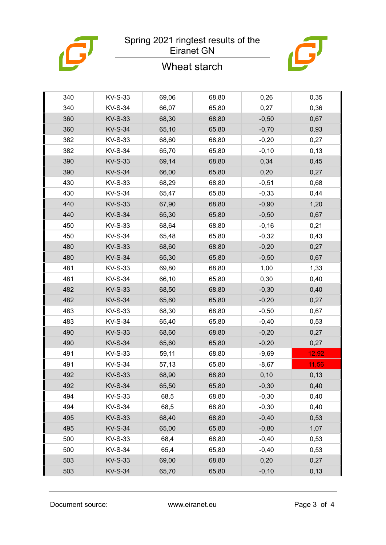

### Spring 2021 ringtest results of the Eiranet GN

### Wheat starch



| 340 | KV-S-33        | 69,06 | 68,80 | 0,26     | 0,35  |
|-----|----------------|-------|-------|----------|-------|
| 340 | <b>KV-S-34</b> | 66,07 | 65,80 | 0,27     | 0,36  |
| 360 | <b>KV-S-33</b> | 68,30 | 68,80 | $-0,50$  | 0,67  |
| 360 | <b>KV-S-34</b> | 65,10 | 65,80 | $-0,70$  | 0,93  |
| 382 | KV-S-33        | 68,60 | 68,80 | $-0,20$  | 0,27  |
| 382 | <b>KV-S-34</b> | 65,70 | 65,80 | $-0,10$  | 0,13  |
| 390 | <b>KV-S-33</b> | 69,14 | 68,80 | 0,34     | 0,45  |
| 390 | <b>KV-S-34</b> | 66,00 | 65,80 | 0,20     | 0,27  |
| 430 | <b>KV-S-33</b> | 68,29 | 68,80 | $-0,51$  | 0,68  |
| 430 | <b>KV-S-34</b> | 65,47 | 65,80 | $-0,33$  | 0,44  |
| 440 | <b>KV-S-33</b> | 67,90 | 68,80 | $-0,90$  | 1,20  |
| 440 | <b>KV-S-34</b> | 65,30 | 65,80 | $-0,50$  | 0,67  |
| 450 | KV-S-33        | 68,64 | 68,80 | $-0,16$  | 0,21  |
| 450 | <b>KV-S-34</b> | 65,48 | 65,80 | $-0,32$  | 0,43  |
| 480 | <b>KV-S-33</b> | 68,60 | 68,80 | $-0,20$  | 0,27  |
| 480 | <b>KV-S-34</b> | 65,30 | 65,80 | $-0,50$  | 0,67  |
| 481 | <b>KV-S-33</b> | 69,80 | 68,80 | 1,00     | 1,33  |
| 481 | <b>KV-S-34</b> | 66,10 | 65,80 | 0,30     | 0,40  |
| 482 | <b>KV-S-33</b> | 68,50 | 68,80 | $-0,30$  | 0,40  |
| 482 | <b>KV-S-34</b> | 65,60 | 65,80 | $-0,20$  | 0,27  |
| 483 | <b>KV-S-33</b> | 68,30 | 68,80 | $-0,50$  | 0,67  |
| 483 | <b>KV-S-34</b> | 65,40 | 65,80 | $-0,40$  | 0,53  |
| 490 | <b>KV-S-33</b> | 68,60 | 68,80 | $-0,20$  | 0,27  |
| 490 | <b>KV-S-34</b> | 65,60 | 65,80 | $-0,20$  | 0,27  |
| 491 | <b>KV-S-33</b> | 59,11 | 68,80 | $-9,69$  | 12,92 |
| 491 | <b>KV-S-34</b> | 57,13 | 65,80 | $-8,67$  | 11,56 |
| 492 | <b>KV-S-33</b> | 68,90 | 68,80 | 0,10     | 0,13  |
| 492 | <b>KV-S-34</b> | 65,50 | 65,80 | $-0,30$  | 0,40  |
| 494 | KV-S-33        | 68,5  | 68,80 | $-0,30$  | 0,40  |
| 494 | <b>KV-S-34</b> | 68,5  | 68,80 | $-0,30$  | 0,40  |
| 495 | <b>KV-S-33</b> | 68,40 | 68,80 | $-0,40$  | 0,53  |
| 495 | <b>KV-S-34</b> | 65,00 | 65,80 | $-0,80$  | 1,07  |
| 500 | KV-S-33        | 68,4  | 68,80 | $-0,40$  | 0,53  |
| 500 | <b>KV-S-34</b> | 65,4  | 65,80 | $-0,40$  | 0,53  |
| 503 | <b>KV-S-33</b> | 69,00 | 68,80 | 0,20     | 0,27  |
| 503 | <b>KV-S-34</b> | 65,70 | 65,80 | $-0, 10$ | 0,13  |
|     |                |       |       |          |       |

Document source: www.eiranet.eu Page 3 of 4